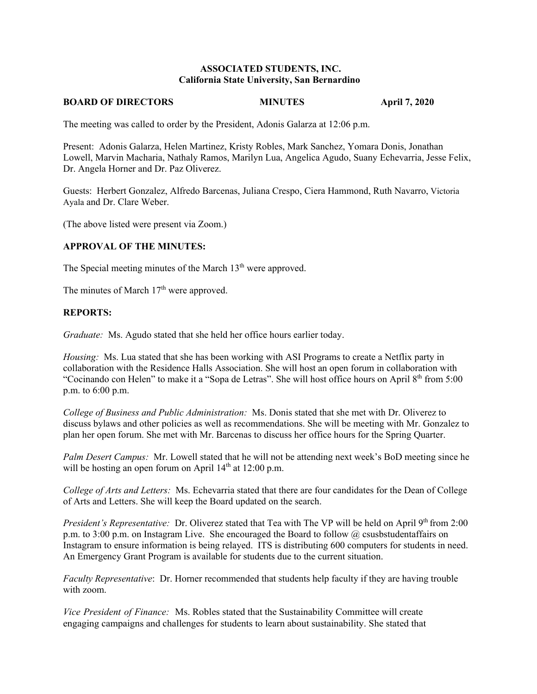#### **ASSOCIATED STUDENTS, INC. California State University, San Bernardino**

#### **BOARD OF DIRECTORS MINUTES 4pril 7, 2020**

The meeting was called to order by the President, Adonis Galarza at 12:06 p.m.

Present: Adonis Galarza, Helen Martinez, Kristy Robles, Mark Sanchez, Yomara Donis, Jonathan Lowell, Marvin Macharia, Nathaly Ramos, Marilyn Lua, Angelica Agudo, Suany Echevarria, Jesse Felix, Dr. Angela Horner and Dr. Paz Oliverez.

Guests: Herbert Gonzalez, Alfredo Barcenas, Juliana Crespo, Ciera Hammond, Ruth Navarro, Victoria Ayala and Dr. Clare Weber.

(The above listed were present via Zoom.)

#### **APPROVAL OF THE MINUTES:**

The Special meeting minutes of the March  $13<sup>th</sup>$  were approved.

The minutes of March  $17<sup>th</sup>$  were approved.

#### **REPORTS:**

*Graduate:* Ms. Agudo stated that she held her office hours earlier today.

*Housing:* Ms. Lua stated that she has been working with ASI Programs to create a Netflix party in collaboration with the Residence Halls Association. She will host an open forum in collaboration with "Cocinando con Helen" to make it a "Sopa de Letras". She will host office hours on April 8<sup>th</sup> from 5:00 p.m. to 6:00 p.m.

*College of Business and Public Administration:* Ms. Donis stated that she met with Dr. Oliverez to discuss bylaws and other policies as well as recommendations. She will be meeting with Mr. Gonzalez to plan her open forum. She met with Mr. Barcenas to discuss her office hours for the Spring Quarter.

*Palm Desert Campus:* Mr. Lowell stated that he will not be attending next week's BoD meeting since he will be hosting an open forum on April  $14<sup>th</sup>$  at 12:00 p.m.

*College of Arts and Letters:* Ms. Echevarria stated that there are four candidates for the Dean of College of Arts and Letters. She will keep the Board updated on the search.

*President's Representative:* Dr. Oliverez stated that Tea with The VP will be held on April 9<sup>th</sup> from 2:00 p.m. to 3:00 p.m. on Instagram Live. She encouraged the Board to follow  $\omega$  csusbstudentaffairs on Instagram to ensure information is being relayed. ITS is distributing 600 computers for students in need. An Emergency Grant Program is available for students due to the current situation.

*Faculty Representative*: Dr. Horner recommended that students help faculty if they are having trouble with zoom.

*Vice President of Finance:* Ms. Robles stated that the Sustainability Committee will create engaging campaigns and challenges for students to learn about sustainability. She stated that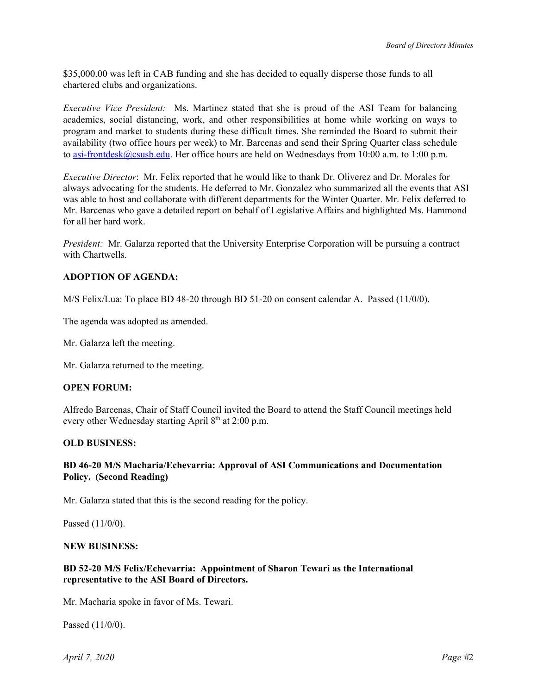\$35,000.00 was left in CAB funding and she has decided to equally disperse those funds to all chartered clubs and organizations.

*Executive Vice President:* Ms. Martinez stated that she is proud of the ASI Team for balancing academics, social distancing, work, and other responsibilities at home while working on ways to program and market to students during these difficult times. She reminded the Board to submit their availability (two office hours per week) to Mr. Barcenas and send their Spring Quarter class schedule to [asi-frontdesk@csusb.edu.](mailto:asi-frontdesk@csusb.edu) Her office hours are held on Wednesdays from 10:00 a.m. to 1:00 p.m.

*Executive Director*: Mr. Felix reported that he would like to thank Dr. Oliverez and Dr. Morales for always advocating for the students. He deferred to Mr. Gonzalez who summarized all the events that ASI was able to host and collaborate with different departments for the Winter Quarter. Mr. Felix deferred to Mr. Barcenas who gave a detailed report on behalf of Legislative Affairs and highlighted Ms. Hammond for all her hard work.

*President:* Mr. Galarza reported that the University Enterprise Corporation will be pursuing a contract with Chartwells.

## **ADOPTION OF AGENDA:**

M/S Felix/Lua: To place BD 48-20 through BD 51-20 on consent calendar A. Passed (11/0/0).

The agenda was adopted as amended.

Mr. Galarza left the meeting.

Mr. Galarza returned to the meeting.

#### **OPEN FORUM:**

Alfredo Barcenas, Chair of Staff Council invited the Board to attend the Staff Council meetings held every other Wednesday starting April  $8<sup>th</sup>$  at 2:00 p.m.

### **OLD BUSINESS:**

## **BD 46-20 M/S Macharia/Echevarria: Approval of ASI Communications and Documentation Policy. (Second Reading)**

Mr. Galarza stated that this is the second reading for the policy.

Passed (11/0/0).

#### **NEW BUSINESS:**

#### **BD 52-20 M/S Felix/Echevarria: Appointment of Sharon Tewari as the International representative to the ASI Board of Directors.**

Mr. Macharia spoke in favor of Ms. Tewari.

Passed (11/0/0).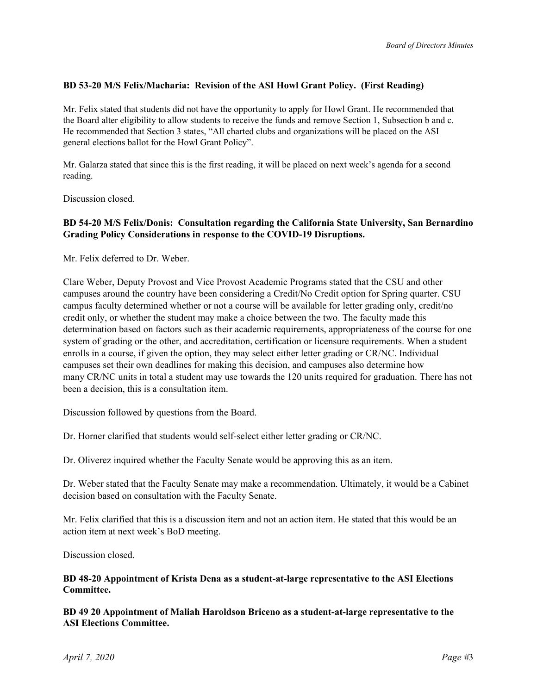#### **BD 53-20 M/S Felix/Macharia: Revision of the ASI Howl Grant Policy. (First Reading)**

Mr. Felix stated that students did not have the opportunity to apply for Howl Grant. He recommended that the Board alter eligibility to allow students to receive the funds and remove Section 1, Subsection b and c. He recommended that Section 3 states, "All charted clubs and organizations will be placed on the ASI general elections ballot for the Howl Grant Policy".

Mr. Galarza stated that since this is the first reading, it will be placed on next week's agenda for a second reading.

Discussion closed.

## **BD 54-20 M/S Felix/Donis: Consultation regarding the California State University, San Bernardino Grading Policy Considerations in response to the COVID-19 Disruptions.**

Mr. Felix deferred to Dr. Weber.

Clare Weber, Deputy Provost and Vice Provost Academic Programs stated that the CSU and other campuses around the country have been considering a Credit/No Credit option for Spring quarter. CSU campus faculty determined whether or not a course will be available for letter grading only, credit/no credit only, or whether the student may make a choice between the two. The faculty made this determination based on factors such as their academic requirements, appropriateness of the course for one system of grading or the other, and accreditation, certification or licensure requirements. When a student enrolls in a course, if given the option, they may select either letter grading or CR/NC. Individual campuses set their own deadlines for making this decision, and campuses also determine how many CR/NC units in total a student may use towards the 120 units required for graduation. There has not been a decision, this is a consultation item.

Discussion followed by questions from the Board.

Dr. Horner clarified that students would self-select either letter grading or CR/NC.

Dr. Oliverez inquired whether the Faculty Senate would be approving this as an item.

Dr. Weber stated that the Faculty Senate may make a recommendation. Ultimately, it would be a Cabinet decision based on consultation with the Faculty Senate.

Mr. Felix clarified that this is a discussion item and not an action item. He stated that this would be an action item at next week's BoD meeting.

Discussion closed.

#### **BD 48-20 Appointment of Krista Dena as a student-at-large representative to the ASI Elections Committee.**

**BD 49 20 Appointment of Maliah Haroldson Briceno as a student-at-large representative to the ASI Elections Committee.**